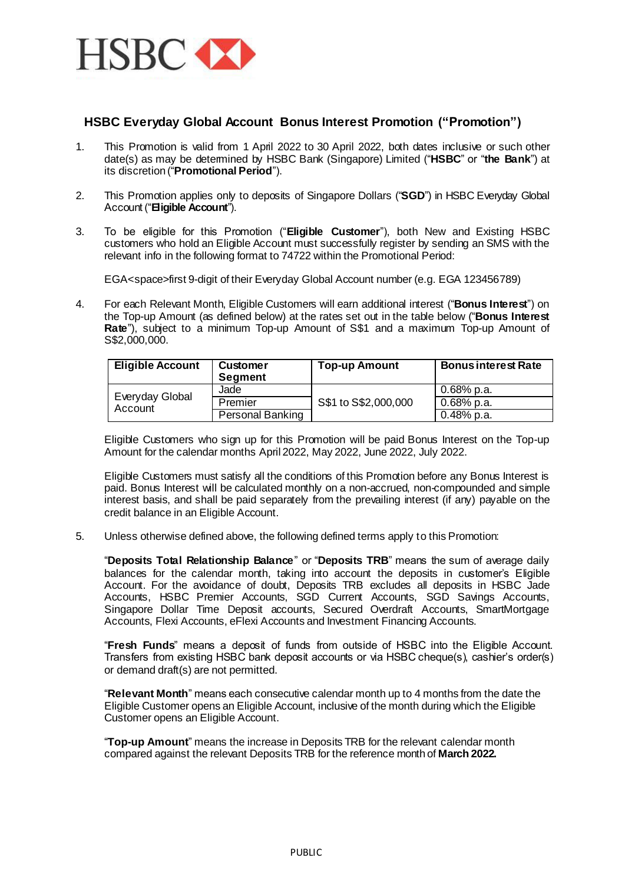

## **HSBC Everyday Global Account Bonus Interest Promotion ("Promotion")**

- 1. This Promotion is valid from 1 April 2022 to 30 April 2022, both dates inclusive or such other date(s) as may be determined by HSBC Bank (Singapore) Limited ("**HSBC**" or "**the Bank**") at its discretion ("**Promotional Period**").
- 2. This Promotion applies only to deposits of Singapore Dollars ("**SGD**") in HSBC Everyday Global Account ("**Eligible Account**").
- 3. To be eligible for this Promotion ("**Eligible Customer**"), both New and Existing HSBC customers who hold an Eligible Account must successfully register by sending an SMS with the relevant info in the following format to 74722 within the Promotional Period:

EGA<space>first 9-digit of their Everyday Global Account number (e.g. EGA 123456789)

4. For each Relevant Month, Eligible Customers will earn additional interest ("**Bonus Interest**") on the Top-up Amount (as defined below) at the rates set out in the table below ("**Bonus Interest Rate**"), subject to a minimum Top-up Amount of S\$1 and a maximum Top-up Amount of S\$2,000,000.

| <b>Eligible Account</b>    | <b>Customer</b><br><b>Segment</b> | <b>Top-up Amount</b> | <b>Bonus interest Rate</b> |
|----------------------------|-----------------------------------|----------------------|----------------------------|
|                            | Jade                              | S\$1 to S\$2,000,000 | $0.68%$ p.a.               |
| Everyday Global<br>Account | Premier                           |                      | 0.68% p.a.                 |
|                            | <b>Personal Banking</b>           |                      | 0.48% p.a.                 |

Eligible Customers who sign up for this Promotion will be paid Bonus Interest on the Top-up Amount for the calendar months April 2022, May 2022, June 2022, July 2022.

Eligible Customers must satisfy all the conditions of this Promotion before any Bonus Interest is paid. Bonus Interest will be calculated monthly on a non-accrued, non-compounded and simple interest basis, and shall be paid separately from the prevailing interest (if any) payable on the credit balance in an Eligible Account.

5. Unless otherwise defined above, the following defined terms apply to this Promotion:

"**Deposits Total Relationship Balance**" or "**Deposits TRB**" means the sum of average daily balances for the calendar month, taking into account the deposits in customer's Eligible Account. For the avoidance of doubt, Deposits TRB excludes all deposits in HSBC Jade Accounts, HSBC Premier Accounts, SGD Current Accounts, SGD Savings Accounts, Singapore Dollar Time Deposit accounts, Secured Overdraft Accounts, SmartMortgage Accounts, Flexi Accounts, eFlexi Accounts and Investment Financing Accounts.

"**Fresh Funds**" means a deposit of funds from outside of HSBC into the Eligible Account. Transfers from existing HSBC bank deposit accounts or via HSBC cheque(s), cashier's order(s) or demand draft(s) are not permitted.

"**Relevant Month**" means each consecutive calendar month up to 4 months from the date the Eligible Customer opens an Eligible Account, inclusive of the month during which the Eligible Customer opens an Eligible Account.

"**Top-up Amount**" means the increase in Deposits TRB for the relevant calendar month compared against the relevant Deposits TRB for the reference month of **March 2022.**